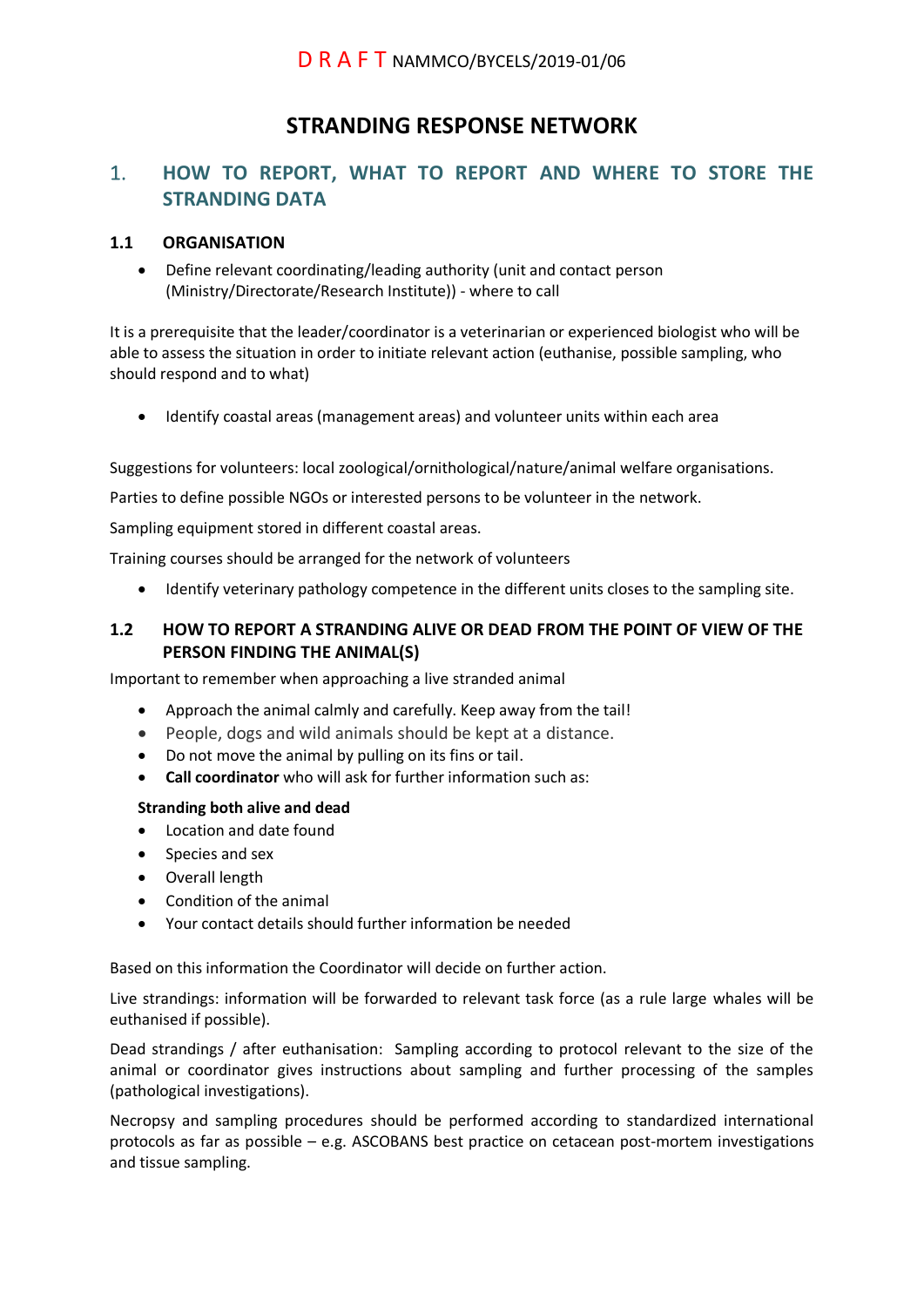# **STRANDING RESPONSE NETWORK**

## 1. **HOW TO REPORT, WHAT TO REPORT AND WHERE TO STORE THE STRANDING DATA**

#### **1.1 ORGANISATION**

• Define relevant coordinating/leading authority (unit and contact person (Ministry/Directorate/Research Institute)) - where to call

It is a prerequisite that the leader/coordinator is a veterinarian or experienced biologist who will be able to assess the situation in order to initiate relevant action (euthanise, possible sampling, who should respond and to what)

• Identify coastal areas (management areas) and volunteer units within each area

Suggestions for volunteers: local zoological/ornithological/nature/animal welfare organisations.

Parties to define possible NGOs or interested persons to be volunteer in the network.

Sampling equipment stored in different coastal areas.

Training courses should be arranged for the network of volunteers

• Identify veterinary pathology competence in the different units closes to the sampling site.

### **1.2 HOW TO REPORT A STRANDING ALIVE OR DEAD FROM THE POINT OF VIEW OF THE PERSON FINDING THE ANIMAL(S)**

Important to remember when approaching a live stranded animal

- Approach the animal calmly and carefully. Keep away from the tail!
- People, dogs and wild animals should be kept at a distance.
- Do not move the animal by pulling on its fins or tail.
- **Call coordinator** who will ask for further information such as:

#### **Stranding both alive and dead**

- Location and date found
- Species and sex
- Overall length
- Condition of the animal
- Your contact details should further information be needed

Based on this information the Coordinator will decide on further action.

Live strandings: information will be forwarded to relevant task force (as a rule large whales will be euthanised if possible).

Dead strandings / after euthanisation: Sampling according to protocol relevant to the size of the animal or coordinator gives instructions about sampling and further processing of the samples (pathological investigations).

Necropsy and sampling procedures should be performed according to standardized international protocols as far as possible – e.g. ASCOBANS best practice on cetacean post-mortem investigations and tissue sampling.